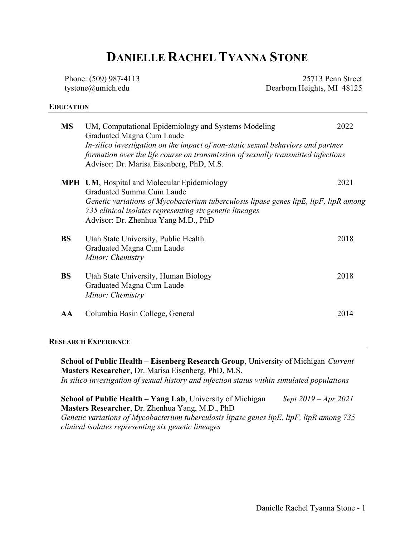# DANIELLE RACHEL TYANNA STONE

Phone: (509) 987-4113 tystone@umich.edu

25713 Penn Street Dearborn Heights, MI 48125

## EDUCATION

| MS | UM, Computational Epidemiology and Systems Modeling<br>Graduated Magna Cum Laude<br>In-silico investigation on the impact of non-static sexual behaviors and partner<br>formation over the life course on transmission of sexually transmitted infections<br>Advisor: Dr. Marisa Eisenberg, PhD, M.S. | 2022 |
|----|-------------------------------------------------------------------------------------------------------------------------------------------------------------------------------------------------------------------------------------------------------------------------------------------------------|------|
|    | <b>MPH</b> UM, Hospital and Molecular Epidemiology<br>Graduated Summa Cum Laude<br>Genetic variations of Mycobacterium tuberculosis lipase genes lipE, lipF, lipR among<br>735 clinical isolates representing six genetic lineages<br>Advisor: Dr. Zhenhua Yang M.D., PhD                             | 2021 |
| BS | Utah State University, Public Health<br>Graduated Magna Cum Laude<br>Minor: Chemistry                                                                                                                                                                                                                 | 2018 |
| BS | Utah State University, Human Biology<br>Graduated Magna Cum Laude<br>Minor: Chemistry                                                                                                                                                                                                                 | 2018 |
| AА | Columbia Basin College, General                                                                                                                                                                                                                                                                       | 2014 |

### RESEARCH EXPERIENCE

School of Public Health – Eisenberg Research Group, University of Michigan Current Masters Researcher, Dr. Marisa Eisenberg, PhD, M.S. In silico investigation of sexual history and infection status within simulated populations

**School of Public Health – Yang Lab**, University of Michigan Sept  $2019 - Apr 2021$ Masters Researcher, Dr. Zhenhua Yang, M.D., PhD Genetic variations of Mycobacterium tuberculosis lipase genes lipE, lipF, lipR among 735 clinical isolates representing six genetic lineages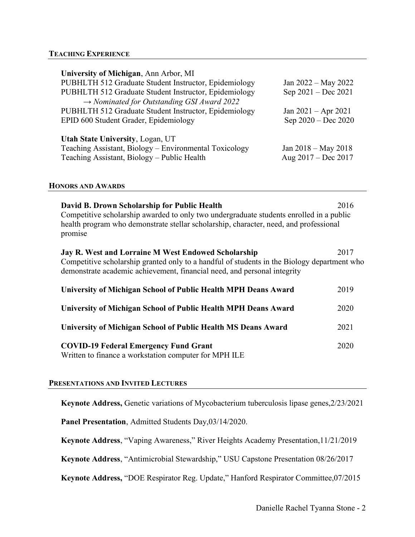## TEACHING EXPERIENCE

| University of Michigan, Ann Arbor, MI                  |                         |
|--------------------------------------------------------|-------------------------|
| PUBHLTH 512 Graduate Student Instructor, Epidemiology  | Jan 2022 – May 2022     |
| PUBHLTH 512 Graduate Student Instructor, Epidemiology  | Sep 2021 – Dec 2021     |
| $\rightarrow$ Nominated for Outstanding GSI Award 2022 |                         |
| PUBHLTH 512 Graduate Student Instructor, Epidemiology  | Jan $2021 -$ Apr $2021$ |
| EPID 600 Student Grader, Epidemiology                  | Sep 2020 - Dec 2020     |
|                                                        |                         |
| <b>Utah State University, Logan, UT</b>                |                         |
| Teaching Assistant, Biology – Environmental Toxicology | Jan $2018 -$ May $2018$ |
| Teaching Assistant, Biology - Public Health            | Aug 2017 - Dec 2017     |

### HONORS AND AWARDS

| David B. Drown Scholarship for Public Health<br>2016<br>Competitive scholarship awarded to only two undergraduate students enrolled in a public<br>health program who demonstrate stellar scholarship, character, need, and professional<br>promise |      |  |
|-----------------------------------------------------------------------------------------------------------------------------------------------------------------------------------------------------------------------------------------------------|------|--|
| <b>Jay R. West and Lorraine M West Endowed Scholarship</b><br>2017<br>Competitive scholarship granted only to a handful of students in the Biology department who<br>demonstrate academic achievement, financial need, and personal integrity       |      |  |
| University of Michigan School of Public Health MPH Deans Award                                                                                                                                                                                      | 2019 |  |
| University of Michigan School of Public Health MPH Deans Award                                                                                                                                                                                      | 2020 |  |
| University of Michigan School of Public Health MS Deans Award                                                                                                                                                                                       | 2021 |  |
| <b>COVID-19 Federal Emergency Fund Grant</b><br>Written to finance a workstation computer for MPH ILE                                                                                                                                               | 2020 |  |

### PRESENTATIONS AND INVITED LECTURES

Keynote Address, Genetic variations of Mycobacterium tuberculosis lipase genes,2/23/2021

Panel Presentation, Admitted Students Day,03/14/2020.

Keynote Address, "Vaping Awareness," River Heights Academy Presentation,11/21/2019

Keynote Address, "Antimicrobial Stewardship," USU Capstone Presentation 08/26/2017

Keynote Address, "DOE Respirator Reg. Update," Hanford Respirator Committee,07/2015